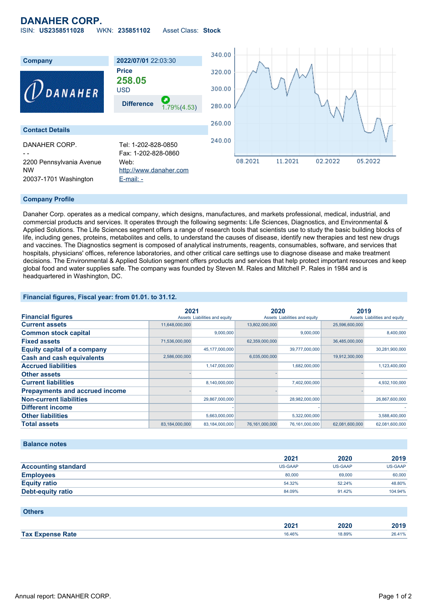## **DANAHER CORP.**

ISIN: **US2358511028** WKN: **235851102** Asset Class: **Stock**



#### **Company Profile**

Danaher Corp. operates as a medical company, which designs, manufactures, and markets professional, medical, industrial, and commercial products and services. It operates through the following segments: Life Sciences, Diagnostics, and Environmental & Applied Solutions. The Life Sciences segment offers a range of research tools that scientists use to study the basic building blocks of life, including genes, proteins, metabolites and cells, to understand the causes of disease, identify new therapies and test new drugs and vaccines. The Diagnostics segment is composed of analytical instruments, reagents, consumables, software, and services that hospitals, physicians' offices, reference laboratories, and other critical care settings use to diagnose disease and make treatment decisions. The Environmental & Applied Solution segment offers products and services that help protect important resources and keep global food and water supplies safe. The company was founded by Steven M. Rales and Mitchell P. Rales in 1984 and is headquartered in Washington, DC.

### **Financial figures, Fiscal year: from 01.01. to 31.12.**

|                                       | 2021           |                               | 2020           |                               | 2019           |                               |
|---------------------------------------|----------------|-------------------------------|----------------|-------------------------------|----------------|-------------------------------|
| <b>Financial figures</b>              |                | Assets Liabilities and equity |                | Assets Liabilities and equity |                | Assets Liabilities and equity |
| <b>Current assets</b>                 | 11,648,000,000 |                               | 13,802,000,000 |                               | 25,596,600,000 |                               |
| <b>Common stock capital</b>           |                | 9,000,000                     |                | 9,000,000                     |                | 8,400,000                     |
| <b>Fixed assets</b>                   | 71,536,000,000 |                               | 62,359,000,000 |                               | 36,485,000,000 |                               |
| <b>Equity capital of a company</b>    |                | 45,177,000,000                |                | 39,777,000,000                |                | 30,281,900,000                |
| <b>Cash and cash equivalents</b>      | 2,586,000,000  |                               | 6,035,000,000  |                               | 19,912,300,000 |                               |
| <b>Accrued liabilities</b>            |                | 1,147,000,000                 |                | 1,682,000,000                 |                | 1,123,400,000                 |
| <b>Other assets</b>                   |                |                               |                |                               |                |                               |
| <b>Current liabilities</b>            |                | 8,140,000,000                 |                | 7,402,000,000                 |                | 4,932,100,000                 |
| <b>Prepayments and accrued income</b> |                |                               |                |                               |                |                               |
| <b>Non-current liabilities</b>        |                | 29,867,000,000                |                | 28,982,000,000                |                | 26,867,600,000                |
| <b>Different income</b>               |                |                               |                |                               |                |                               |
| <b>Other liabilities</b>              |                | 5,663,000,000                 |                | 5,322,000,000                 |                | 3,588,400,000                 |
| <b>Total assets</b>                   | 83,184,000,000 | 83,184,000,000                | 76.161.000.000 | 76,161,000,000                | 62.081.600.000 | 62.081.600.000                |

#### **Balance notes**

|                            | 2021    | 2020    | 2019    |
|----------------------------|---------|---------|---------|
| <b>Accounting standard</b> | US-GAAP | US-GAAP | US-GAAP |
| <b>Employees</b>           | 80,000  | 69,000  | 60,000  |
| <b>Equity ratio</b>        | 54.32%  | 52.24%  | 48.80%  |
| <b>Debt-equity ratio</b>   | 84.09%  | 91.42%  | 104.94% |

| <b>Others</b>           |        |        |        |
|-------------------------|--------|--------|--------|
|                         | 2021   | 2020   | 2019   |
| <b>Tax Expense Rate</b> | 16.46% | 18.89% | 26.41% |